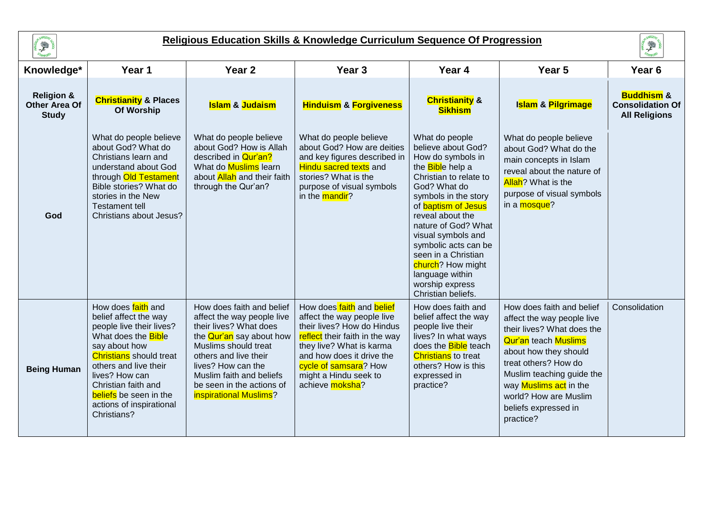

## **Religious Education Skills & Knowledge Curriculum Sequence Of Progression**



| Knowledge*                                                    | Year 1                                                                                                                                                                                                                                                                                          | Year <sub>2</sub>                                                                                                                                                                                                                                                              | Year <sub>3</sub>                                                                                                                                                                                                                                     | Year 4                                                                                                                                                                                                                                                                                                                                                                                 | Year <sub>5</sub>                                                                                                                                                                                                                                                                                 | Year <sub>6</sub>                                                        |
|---------------------------------------------------------------|-------------------------------------------------------------------------------------------------------------------------------------------------------------------------------------------------------------------------------------------------------------------------------------------------|--------------------------------------------------------------------------------------------------------------------------------------------------------------------------------------------------------------------------------------------------------------------------------|-------------------------------------------------------------------------------------------------------------------------------------------------------------------------------------------------------------------------------------------------------|----------------------------------------------------------------------------------------------------------------------------------------------------------------------------------------------------------------------------------------------------------------------------------------------------------------------------------------------------------------------------------------|---------------------------------------------------------------------------------------------------------------------------------------------------------------------------------------------------------------------------------------------------------------------------------------------------|--------------------------------------------------------------------------|
| <b>Religion &amp;</b><br><b>Other Area Of</b><br><b>Study</b> | <b>Christianity &amp; Places</b><br>Of Worship                                                                                                                                                                                                                                                  | <b>Islam &amp; Judaism</b>                                                                                                                                                                                                                                                     | <b>Hinduism &amp; Forgiveness</b>                                                                                                                                                                                                                     | <b>Christianity &amp;</b><br><b>Sikhism</b>                                                                                                                                                                                                                                                                                                                                            | Islam & Pilgrimage                                                                                                                                                                                                                                                                                | <b>Buddhism &amp;</b><br><b>Consolidation Of</b><br><b>All Religions</b> |
| God                                                           | What do people believe<br>about God? What do<br>Christians learn and<br>understand about God<br>through Old Testament<br>Bible stories? What do<br>stories in the New<br><b>Testament tell</b><br>Christians about Jesus?                                                                       | What do people believe<br>about God? How is Allah<br>described in <b>Qur'an?</b><br>What do <b>Muslims</b> learn<br>about Allah and their faith<br>through the Qur'an?                                                                                                         | What do people believe<br>about God? How are deities<br>and key figures described in<br><b>Hindu sacred texts</b> and<br>stories? What is the<br>purpose of visual symbols<br>in the <b>mandir</b> ?                                                  | What do people<br>believe about God?<br>How do symbols in<br>the <b>Bibl</b> e help a<br>Christian to relate to<br>God? What do<br>symbols in the story<br>of <b>baptism of Jesus</b><br>reveal about the<br>nature of God? What<br>visual symbols and<br>symbolic acts can be<br>seen in a Christian<br>church? How might<br>language within<br>worship express<br>Christian beliefs. | What do people believe<br>about God? What do the<br>main concepts in Islam<br>reveal about the nature of<br><b>Allah</b> ? What is the<br>purpose of visual symbols<br>in a <b>mosque</b> ?                                                                                                       |                                                                          |
| <b>Being Human</b>                                            | How does faith and<br>belief affect the way<br>people live their lives?<br>What does the <b>Bible</b><br>say about how<br><b>Christians</b> should treat<br>others and live their<br>lives? How can<br>Christian faith and<br>beliefs be seen in the<br>actions of inspirational<br>Christians? | How does faith and belief<br>affect the way people live<br>their lives? What does<br>the <b>Qur'an</b> say about how<br>Muslims should treat<br>others and live their<br>lives? How can the<br>Muslim faith and beliefs<br>be seen in the actions of<br>inspirational Muslims? | How does faith and belief<br>affect the way people live<br>their lives? How do Hindus<br>reflect their faith in the way<br>they live? What is karma<br>and how does it drive the<br>cycle of samsara? How<br>might a Hindu seek to<br>achieve moksha? | How does faith and<br>belief affect the way<br>people live their<br>lives? In what ways<br>does the <b>Bible</b> teach<br><b>Christians</b> to treat<br>others? How is this<br>expressed in<br>practice?                                                                                                                                                                               | How does faith and belief<br>affect the way people live<br>their lives? What does the<br><b>Qur'an</b> teach <b>Muslims</b><br>about how they should<br>treat others? How do<br>Muslim teaching guide the<br>way Muslims act in the<br>world? How are Muslim<br>beliefs expressed in<br>practice? | Consolidation                                                            |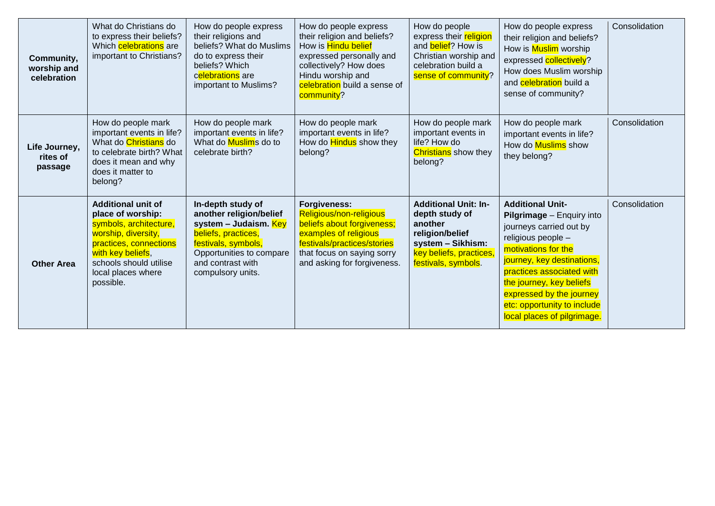| Community,<br>worship and<br>celebration | What do Christians do<br>to express their beliefs?<br>Which <b>celebrations</b> are<br>important to Christians?                                                                                             | How do people express<br>their religions and<br>beliefs? What do Muslims<br>do to express their<br>beliefs? Which<br>celebrations are<br>important to Muslims?                            | How do people express<br>their religion and beliefs?<br>How is <mark>Hindu belief</mark><br>expressed personally and<br>collectively? How does<br>Hindu worship and<br>celebration build a sense of<br>community? | How do people<br>express their religion<br>and <b>belief</b> ? How is<br>Christian worship and<br>celebration build a<br>sense of community?       | How do people express<br>their religion and beliefs?<br>How is Muslim worship<br>expressed collectively?<br>How does Muslim worship<br>and <b>celebration</b> build a<br>sense of community?                                                                                                                  | Consolidation |
|------------------------------------------|-------------------------------------------------------------------------------------------------------------------------------------------------------------------------------------------------------------|-------------------------------------------------------------------------------------------------------------------------------------------------------------------------------------------|-------------------------------------------------------------------------------------------------------------------------------------------------------------------------------------------------------------------|----------------------------------------------------------------------------------------------------------------------------------------------------|---------------------------------------------------------------------------------------------------------------------------------------------------------------------------------------------------------------------------------------------------------------------------------------------------------------|---------------|
| Life Journey,<br>rites of<br>passage     | How do people mark<br>important events in life?<br>What do <i>Christians</i> do<br>to celebrate birth? What<br>does it mean and why<br>does it matter to<br>belong?                                         | How do people mark<br>important events in life?<br>What do Muslims do to<br>celebrate birth?                                                                                              | How do people mark<br>important events in life?<br>How do <b>Hindus</b> show they<br>belong?                                                                                                                      | How do people mark<br>important events in<br>life? How do<br><b>Christians</b> show they<br>belong?                                                | How do people mark<br>important events in life?<br>How do Muslims show<br>they belong?                                                                                                                                                                                                                        | Consolidation |
| <b>Other Area</b>                        | <b>Additional unit of</b><br>place of worship:<br>symbols, architecture,<br>worship, diversity,<br>practices, connections<br>with key beliefs,<br>schools should utilise<br>local places where<br>possible. | In-depth study of<br>another religion/belief<br>system - Judaism. Key<br>beliefs, practices,<br>festivals, symbols,<br>Opportunities to compare<br>and contrast with<br>compulsory units. | <b>Forgiveness:</b><br>Religious/non-religious<br>beliefs about forgiveness;<br>examples of religious<br>festivals/practices/stories<br>that focus on saying sorry<br>and asking for forgiveness.                 | <b>Additional Unit: In-</b><br>depth study of<br>another<br>religion/belief<br>system - Sikhism:<br>key beliefs, practices,<br>festivals, symbols. | <b>Additional Unit-</b><br>Pilgrimage - Enquiry into<br>journeys carried out by<br>religious people -<br>motivations for the<br>journey, key destinations,<br>practices associated with<br>the journey, key beliefs<br>expressed by the journey<br>etc: opportunity to include<br>local places of pilgrimage. | Consolidation |